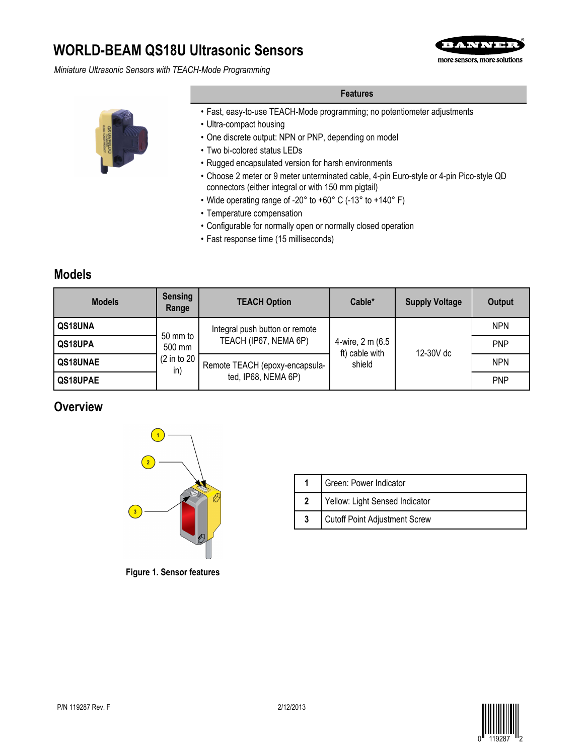# **WORLD-BEAM QS18U Ultrasonic Sensors**

*Miniature Ultrasonic Sensors with TEACH-Mode Programming*





**Features**

- Fast, easy-to-use TEACH-Mode programming; no potentiometer adjustments
- Ultra-compact housing
- One discrete output: NPN or PNP, depending on model
- Two bi-colored status LEDs
- Rugged encapsulated version for harsh environments
- Choose 2 meter or 9 meter unterminated cable, 4-pin Euro-style or 4-pin Pico-style QD connectors (either integral or with 150 mm pigtail)
- Wide operating range of -20° to +60° C (-13° to +140° F)
- Temperature compensation
- Configurable for normally open or normally closed operation
- Fast response time (15 milliseconds)

## **Models**

| <b>Models</b> | <b>Sensing</b><br>Range | <b>TEACH Option</b>            | Cable*                                       | <b>Supply Voltage</b> | Output     |
|---------------|-------------------------|--------------------------------|----------------------------------------------|-----------------------|------------|
| QS18UNA       |                         | Integral push button or remote | 4-wire, 2 m (6.5<br>ft) cable with<br>shield |                       | <b>NPN</b> |
| QS18UPA       | 50 mm to<br>500 mm      | TEACH (IP67, NEMA 6P)          |                                              | 12-30V dc             | <b>PNP</b> |
| QS18UNAE      | (2 in to 20<br>in)      | Remote TEACH (epoxy-encapsula- |                                              |                       | <b>NPN</b> |
| QS18UPAE      |                         | ted, IP68, NEMA 6P)            |                                              |                       | <b>PNP</b> |

## **Overview**



|  | Green: Power Indicator         |
|--|--------------------------------|
|  | Yellow: Light Sensed Indicator |
|  | Cutoff Point Adjustment Screw  |

**Figure 1. Sensor features**

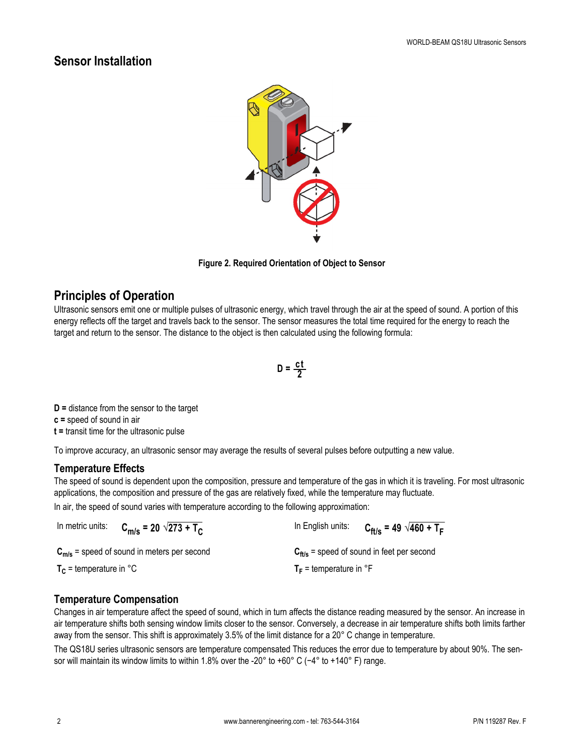## **Sensor Installation**



**Figure 2. Required Orientation of Object to Sensor**

## **Principles of Operation**

Ultrasonic sensors emit one or multiple pulses of ultrasonic energy, which travel through the air at the speed of sound. A portion of this energy reflects off the target and travels back to the sensor. The sensor measures the total time required for the energy to reach the target and return to the sensor. The distance to the object is then calculated using the following formula:

$$
D = \frac{ct}{2}
$$

**D =** distance from the sensor to the target

**c =** speed of sound in air

**t =** transit time for the ultrasonic pulse

To improve accuracy, an ultrasonic sensor may average the results of several pulses before outputting a new value.

### **Temperature Effects**

The speed of sound is dependent upon the composition, pressure and temperature of the gas in which it is traveling. For most ultrasonic applications, the composition and pressure of the gas are relatively fixed, while the temperature may fluctuate.

In air, the speed of sound varies with temperature according to the following approximation:

| In metric units:            | $C_{\text{m/s}}$ = 20 $\sqrt{273}$ + T <sub>C</sub> | In English units:                  | $C_{\text{ft/s}}$ = 49 $\sqrt{460 + T_F}$             |
|-----------------------------|-----------------------------------------------------|------------------------------------|-------------------------------------------------------|
|                             | $C_{m/s}$ = speed of sound in meters per second     |                                    | $C_{\text{ft/s}}$ = speed of sound in feet per second |
| $T_c$ = temperature in $°C$ |                                                     | $T_F$ = temperature in $\degree$ F |                                                       |

### **Temperature Compensation**

Changes in air temperature affect the speed of sound, which in turn affects the distance reading measured by the sensor. An increase in air temperature shifts both sensing window limits closer to the sensor. Conversely, a decrease in air temperature shifts both limits farther away from the sensor. This shift is approximately 3.5% of the limit distance for a 20° C change in temperature.

The QS18U series ultrasonic sensors are temperature compensated This reduces the error due to temperature by about 90%. The sensor will maintain its window limits to within 1.8% over the -20° to +60° C (-4° to +140° F) range.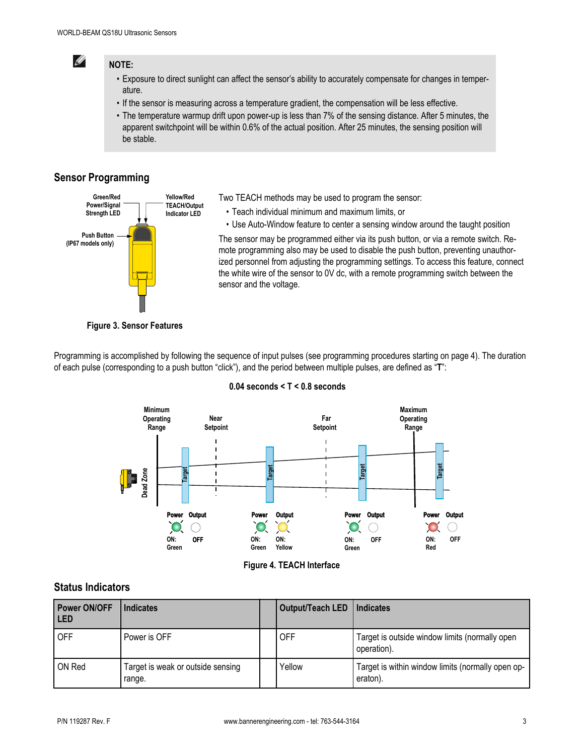

### **NOTE:**

- Exposure to direct sunlight can affect the sensor's ability to accurately compensate for changes in temperature.
- If the sensor is measuring across a temperature gradient, the compensation will be less effective.
- The temperature warmup drift upon power-up is less than 7% of the sensing distance. After 5 minutes, the apparent switchpoint will be within 0.6% of the actual position. After 25 minutes, the sensing position will be stable.

## **Sensor Programming**



Two TEACH methods may be used to program the sensor:

- Teach individual minimum and maximum limits, or
- Use Auto-Window feature to center a sensing window around the taught position

The sensor may be programmed either via its push button, or via a remote switch. Remote programming also may be used to disable the push button, preventing unauthorized personnel from adjusting the programming settings. To access this feature, connect the white wire of the sensor to 0V dc, with a remote programming switch between the sensor and the voltage.

#### **Figure 3. Sensor Features**

Programming is accomplished by following the sequence of input pulses (see programming procedures starting on page 4). The duration of each pulse (corresponding to a push button "click"), and the period between multiple pulses, are defined as "**T**":



### **0.04 seconds < T < 0.8 seconds**

**Figure 4. TEACH Interface**

### **Status Indicators**

| <b>Power ON/OFF</b><br>l LED | <b>Indicates</b>                            | Output/Teach LED | Indicates                                                     |
|------------------------------|---------------------------------------------|------------------|---------------------------------------------------------------|
| <b>OFF</b>                   | Power is OFF                                | <b>OFF</b>       | Target is outside window limits (normally open<br>operation). |
| ON Red                       | Target is weak or outside sensing<br>range. | Yellow           | Target is within window limits (normally open op-<br>eraton). |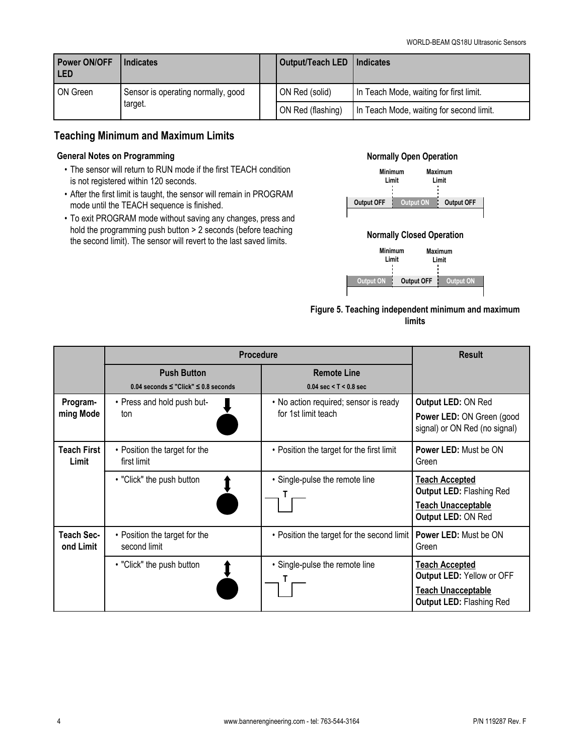| <b>Power ON/OFF</b><br><b>LED</b> | <b>Indicates</b>                              |  | Output/Teach LED   Indicates |                                          |
|-----------------------------------|-----------------------------------------------|--|------------------------------|------------------------------------------|
| ON Green                          | Sensor is operating normally, good<br>target. |  | ON Red (solid)               | In Teach Mode, waiting for first limit.  |
|                                   |                                               |  | ON Red (flashing)            | In Teach Mode, waiting for second limit. |

### **Teaching Minimum and Maximum Limits**

#### **General Notes on Programming**

- The sensor will return to RUN mode if the first TEACH condition is not registered within 120 seconds.
- After the first limit is taught, the sensor will remain in PROGRAM mode until the TEACH sequence is finished.
- To exit PROGRAM mode without saving any changes, press and hold the programming push button > 2 seconds (before teaching the second limit). The sensor will revert to the last saved limits.

### **Normally Open Operation**



#### **Normally Closed Operation**



### **Figure 5. Teaching independent minimum and maximum limits**

|                             | <b>Procedure</b>                                                     | <b>Result</b>                                                  |                                                                                                                    |
|-----------------------------|----------------------------------------------------------------------|----------------------------------------------------------------|--------------------------------------------------------------------------------------------------------------------|
|                             | <b>Push Button</b><br>$0.04$ seconds $\le$ "Click" $\le$ 0.8 seconds | <b>Remote Line</b><br>$0.04 \text{ sec} < T < 0.8 \text{ sec}$ |                                                                                                                    |
| Program-<br>ming Mode       | • Press and hold push but-<br>ton                                    | • No action required; sensor is ready<br>for 1st limit teach   | Output LED: ON Red<br><b>Power LED: ON Green (good)</b><br>signal) or ON Red (no signal)                           |
| <b>Teach First</b><br>Limit | • Position the target for the<br>first limit                         | • Position the target for the first limit                      | Power LED: Must be ON<br>Green                                                                                     |
|                             | • "Click" the push button                                            | • Single-pulse the remote line                                 | <b>Teach Accepted</b><br><b>Output LED: Flashing Red</b><br><b>Teach Unacceptable</b><br>Output LED: ON Red        |
| Teach Sec-<br>ond Limit     | • Position the target for the<br>second limit                        | • Position the target for the second limit                     | <b>Power LED: Must be ON</b><br>Green                                                                              |
|                             | • "Click" the push button                                            | • Single-pulse the remote line                                 | <b>Teach Accepted</b><br>Output LED: Yellow or OFF<br><b>Teach Unacceptable</b><br><b>Output LED: Flashing Red</b> |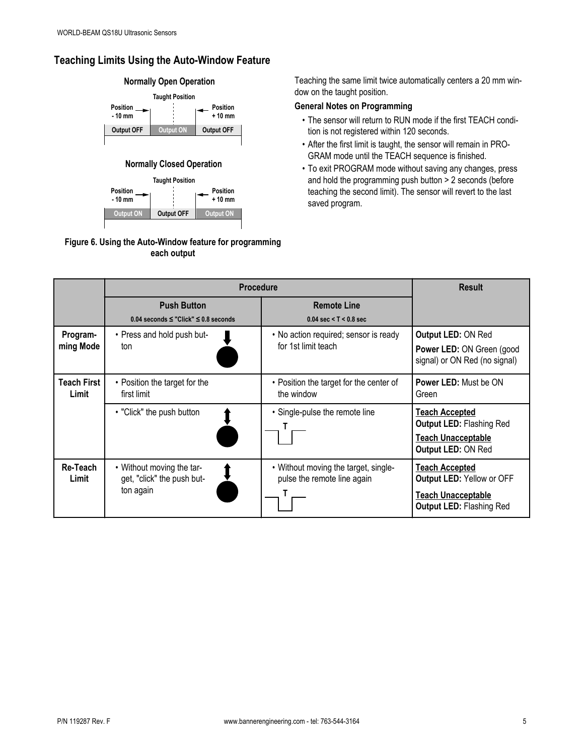## **Teaching Limits Using the Auto-Window Feature**



### **Normally Closed Operation**



### **Figure 6. Using the Auto-Window feature for programming each output**

Teaching the same limit twice automatically centers a 20 mm window on the taught position.

### **General Notes on Programming**

- The sensor will return to RUN mode if the first TEACH condition is not registered within 120 seconds.
- After the first limit is taught, the sensor will remain in PRO-GRAM mode until the TEACH sequence is finished.
- To exit PROGRAM mode without saving any changes, press and hold the programming push button > 2 seconds (before teaching the second limit). The sensor will revert to the last saved program.

|                             | <b>Procedure</b>                                                     | <b>Result</b>                                                       |                                                                                                             |
|-----------------------------|----------------------------------------------------------------------|---------------------------------------------------------------------|-------------------------------------------------------------------------------------------------------------|
|                             | <b>Push Button</b><br>$0.04$ seconds $\le$ "Click" $\le$ 0.8 seconds | <b>Remote Line</b><br>$0.04 \text{ sec} < T < 0.8 \text{ sec}$      |                                                                                                             |
| Program-<br>ming Mode       | • Press and hold push but-<br>ton                                    | • No action required; sensor is ready<br>for 1st limit teach        | Output LED: ON Red<br>Power LED: ON Green (good<br>signal) or ON Red (no signal)                            |
| <b>Teach First</b><br>Limit | • Position the target for the<br>first limit                         | • Position the target for the center of<br>the window               | <b>Power LED: Must be ON</b><br>Green                                                                       |
|                             | • "Click" the push button                                            | • Single-pulse the remote line                                      | Teach Accepted<br><b>Output LED: Flashing Red</b><br><b>Teach Unacceptable</b><br>Output LED: ON Red        |
| Re-Teach<br>Limit           | • Without moving the tar-<br>get, "click" the push but-<br>ton again | • Without moving the target, single-<br>pulse the remote line again | <b>Teach Accepted</b><br>Output LED: Yellow or OFF<br>Teach Unacceptable<br><b>Output LED: Flashing Red</b> |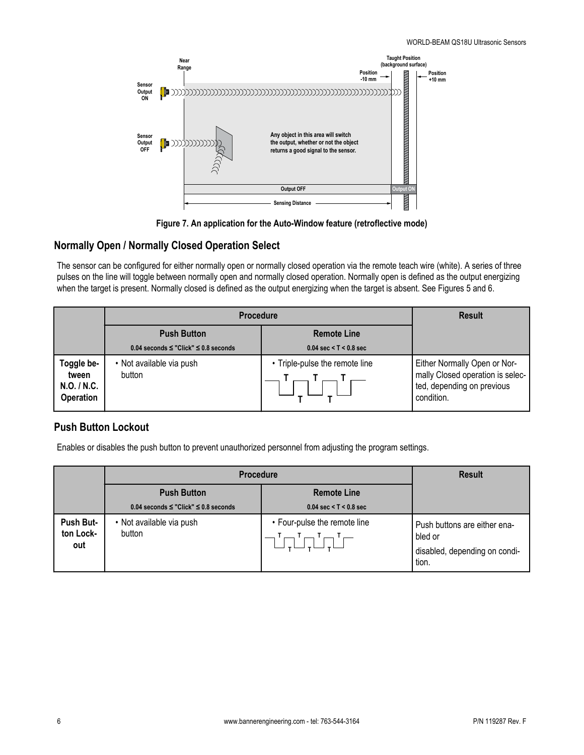

**Figure 7. An application for the Auto-Window feature (retroflective mode)**

### **Normally Open / Normally Closed Operation Select**

The sensor can be configured for either normally open or normally closed operation via the remote teach wire (white). A series of three pulses on the line will toggle between normally open and normally closed operation. Normally open is defined as the output energizing when the target is present. Normally closed is defined as the output energizing when the target is absent. See Figures 5 and 6.

|                                                        | <b>Procedure</b>                               | <b>Result</b>                            |                                                                                                              |
|--------------------------------------------------------|------------------------------------------------|------------------------------------------|--------------------------------------------------------------------------------------------------------------|
|                                                        | <b>Push Button</b><br><b>Remote Line</b>       |                                          |                                                                                                              |
|                                                        | $0.04$ seconds $\le$ "Click" $\le$ 0.8 seconds | $0.04 \text{ sec} < T < 0.8 \text{ sec}$ |                                                                                                              |
| Toggle be-<br>tween<br>N.O. / N.C.<br><b>Operation</b> | • Not available via push<br>button             | • Triple-pulse the remote line           | Either Normally Open or Nor-<br>mally Closed operation is selec-<br>ted, depending on previous<br>condition. |

### **Push Button Lockout**

Enables or disables the push button to prevent unauthorized personnel from adjusting the program settings.

|                               | <b>Procedure</b>                                                     | <b>Result</b>                                                  |                                                                                   |
|-------------------------------|----------------------------------------------------------------------|----------------------------------------------------------------|-----------------------------------------------------------------------------------|
|                               | <b>Push Button</b><br>$0.04$ seconds $\le$ "Click" $\le$ 0.8 seconds | <b>Remote Line</b><br>$0.04 \text{ sec} < T < 0.8 \text{ sec}$ |                                                                                   |
| Push But-<br>ton Lock-<br>out | • Not available via push<br>button                                   | • Four-pulse the remote line                                   | Push buttons are either ena-<br>bled or<br>disabled, depending on condi-<br>tion. |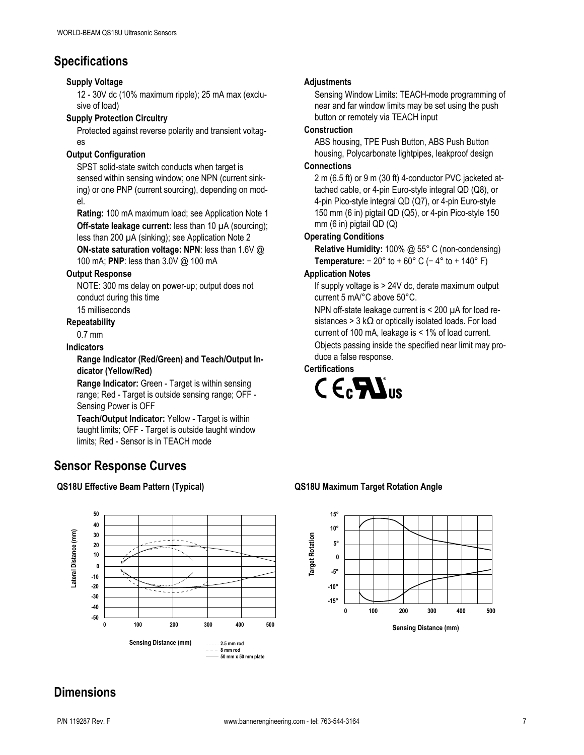## **Specifications**

### **Supply Voltage**

12 - 30V dc (10% maximum ripple); 25 mA max (exclusive of load)

#### **Supply Protection Circuitry**

Protected against reverse polarity and transient voltages

### **Output Configuration**

SPST solid-state switch conducts when target is sensed within sensing window; one NPN (current sinking) or one PNP (current sourcing), depending on model.

**Rating:** 100 mA maximum load; see Application Note 1 **Off-state leakage current:** less than 10  $\mu$ A (sourcing);

less than 200 µA (sinking); see Application Note 2 **ON-state saturation voltage: NPN**: less than 1.6V @

100 mA; **PNP**: less than 3.0V @ 100 mA

### **Output Response**

NOTE: 300 ms delay on power-up; output does not conduct during this time

## 15 milliseconds

**Repeatability**

0.7 mm

#### **Indicators**

#### **Range Indicator (Red/Green) and Teach/Output Indicator (Yellow/Red)**

**Range Indicator:** Green - Target is within sensing range; Red - Target is outside sensing range; OFF - Sensing Power is OFF

**Teach/Output Indicator:** Yellow - Target is within taught limits; OFF - Target is outside taught window limits; Red - Sensor is in TEACH mode

## **Sensor Response Curves**

### **QS18U Effective Beam Pattern (Typical) QS18U Maximum Target Rotation Angle**



### **Adjustments**

Sensing Window Limits: TEACH-mode programming of near and far window limits may be set using the push button or remotely via TEACH input

### **Construction**

ABS housing, TPE Push Button, ABS Push Button housing, Polycarbonate lightpipes, leakproof design

#### **Connections**

2 m (6.5 ft) or 9 m (30 ft) 4-conductor PVC jacketed attached cable, or 4-pin Euro-style integral QD (Q8), or 4-pin Pico-style integral QD (Q7), or 4-pin Euro-style 150 mm (6 in) pigtail QD (Q5), or 4-pin Pico-style 150 mm (6 in) pigtail QD (Q)

### **Operating Conditions**

**Relative Humidity:** 100% @ 55° C (non-condensing) **Temperature:** − 20° to + 60° C (− 4° to + 140° F)

### **Application Notes**

If supply voltage is > 24V dc, derate maximum output current 5 mA/°C above 50°C.

NPN off-state leakage current is < 200 µA for load resistances > 3 k $\Omega$  or optically isolated loads. For load current of 100 mA, leakage is < 1% of load current. Objects passing inside the specified near limit may produce a false response.

### **Certifications**





## **Dimensions**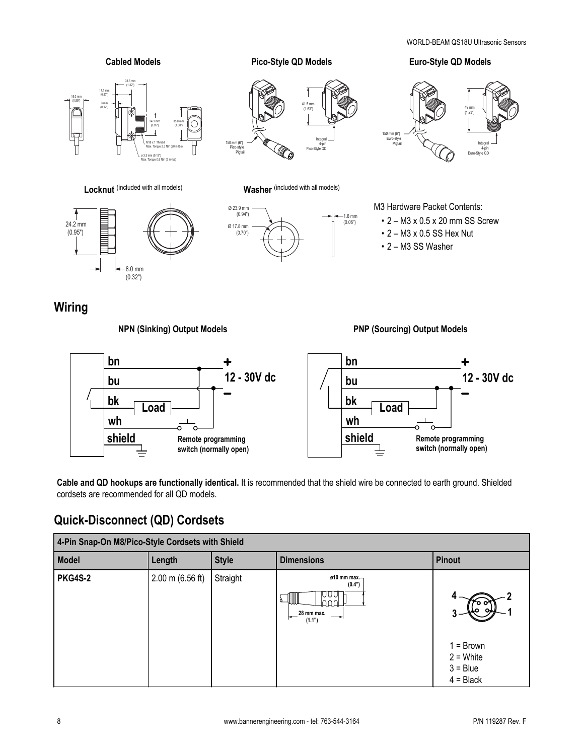

cordsets are recommended for all QD models.

## **Quick-Disconnect (QD) Cordsets**

| 4-Pin Snap-On M8/Pico-Style Cordsets with Shield |                            |              |                                                                       |                                                         |  |
|--------------------------------------------------|----------------------------|--------------|-----------------------------------------------------------------------|---------------------------------------------------------|--|
| <b>Model</b>                                     | Length                     | <b>Style</b> | <b>Dimensions</b>                                                     | <b>Pinout</b>                                           |  |
| <b>PKG4S-2</b>                                   | $2.00 \text{ m}$ (6.56 ft) | Straight     | $010$ mm max.-<br>(0.4")<br>IJ<br>- IIII<br>m<br>28 mm max.<br>(1.1") | $1 = Brown$<br>$2 =$ White<br>$3 = Blue$<br>$4 = Black$ |  |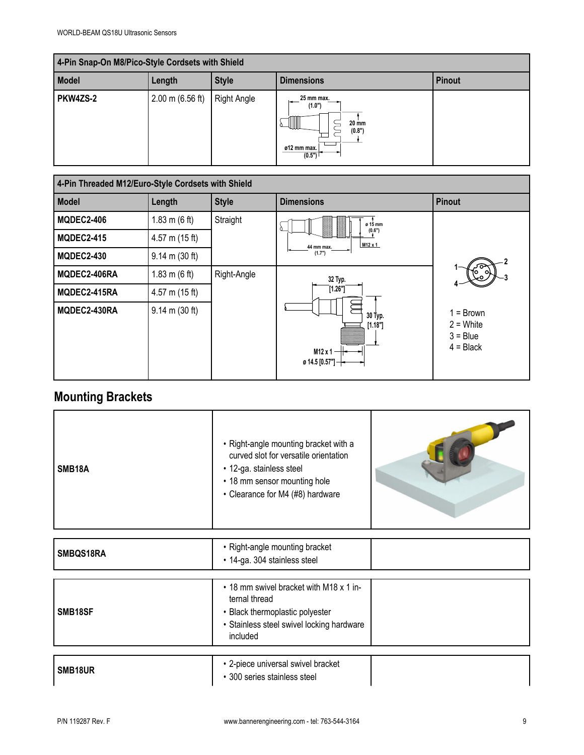| 4-Pin Snap-On M8/Pico-Style Cordsets with Shield |                            |              |                                                                                      |               |  |  |
|--------------------------------------------------|----------------------------|--------------|--------------------------------------------------------------------------------------|---------------|--|--|
| Model                                            | Length                     | <b>Style</b> | <b>Dimensions</b>                                                                    | <b>Pinout</b> |  |  |
| PKW4ZS-2                                         | $2.00 \text{ m}$ (6.56 ft) | Right Angle  | 25 mm max.<br>╺<br>(1.0")<br>1111<br><b>20 mm</b><br>(0.8")<br>ø12 mm max.<br>(0.5") |               |  |  |

| 4-Pin Threaded M12/Euro-Style Cordsets with Shield |                                  |              |                                                       |                                                         |  |
|----------------------------------------------------|----------------------------------|--------------|-------------------------------------------------------|---------------------------------------------------------|--|
| <b>Model</b>                                       | Length                           | <b>Style</b> | <b>Dimensions</b>                                     | <b>Pinout</b>                                           |  |
| <b>MQDEC2-406</b>                                  | 1.83 m $(6 \text{ ft})$          | Straight     | ø 15 mm                                               |                                                         |  |
| <b>MQDEC2-415</b>                                  | $4.57$ m (15 ft)                 |              | (0,6")<br>M12 x 1<br>44 mm max.<br>(1.7")             |                                                         |  |
| <b>MQDEC2-430</b>                                  | $9.14 \text{ m} (30 \text{ ft})$ |              |                                                       |                                                         |  |
| MQDEC2-406RA                                       | 1.83 m $(6 ft)$                  | Right-Angle  | 32 Typ.                                               |                                                         |  |
| MQDEC2-415RA                                       | $4.57$ m (15 ft)                 |              | [1.26"]                                               |                                                         |  |
| MQDEC2-430RA                                       | $9.14 \text{ m} (30 \text{ ft})$ |              | 30 Typ.<br>[1.18"]<br>$M12x1 -$<br>ø 14.5 [0.57"] $+$ | $1 = Brown$<br>$2 =$ White<br>$3 = Blue$<br>$4 = Black$ |  |

# **Mounting Brackets**

| SMB <sub>18</sub> A | • Right-angle mounting bracket with a<br>curved slot for versatile orientation<br>· 12-ga. stainless steel<br>• 18 mm sensor mounting hole<br>• Clearance for M4 (#8) hardware |  |
|---------------------|--------------------------------------------------------------------------------------------------------------------------------------------------------------------------------|--|

| SMBQS18RA            | • Right-angle mounting bracket<br>• 14-ga. 304 stainless steel                                                                                       |  |
|----------------------|------------------------------------------------------------------------------------------------------------------------------------------------------|--|
| SMB <sub>18</sub> SF | • 18 mm swivel bracket with M18 x 1 in-<br>ternal thread<br>• Black thermoplastic polyester<br>• Stainless steel swivel locking hardware<br>included |  |
| SMB18UR              | • 2-piece universal swivel bracket<br>• 300 series stainless steel                                                                                   |  |